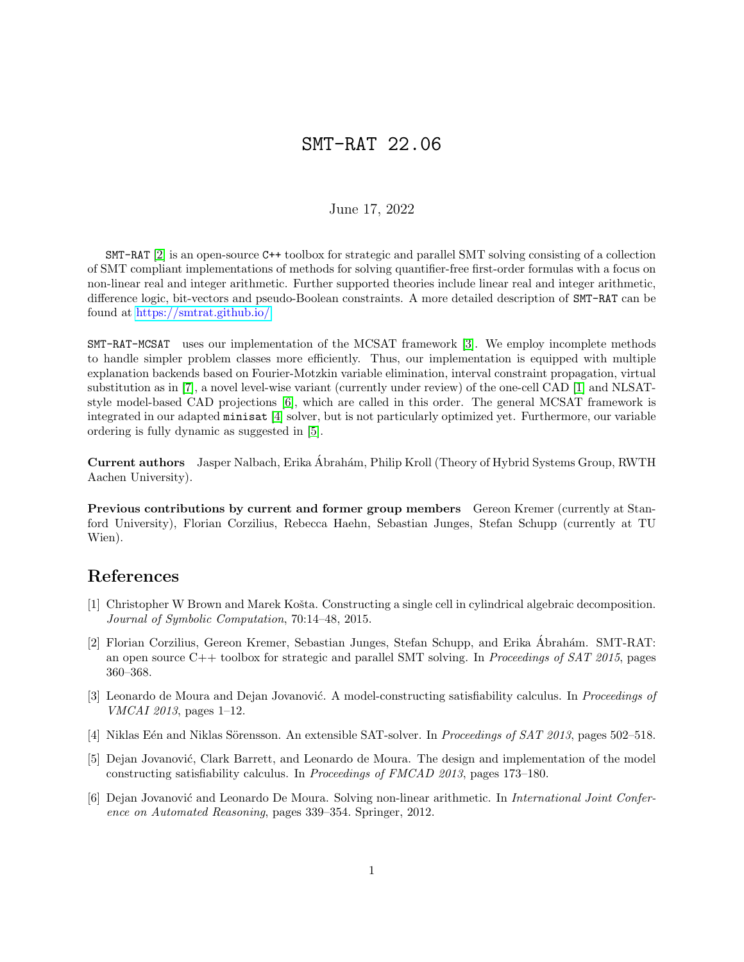## SMT-RAT 22.06

## June 17, 2022

SMT-RAT [\[2\]](#page-0-0) is an open-source C++ toolbox for strategic and parallel SMT solving consisting of a collection of SMT compliant implementations of methods for solving quantifier-free first-order formulas with a focus on non-linear real and integer arithmetic. Further supported theories include linear real and integer arithmetic, difference logic, bit-vectors and pseudo-Boolean constraints. A more detailed description of SMT-RAT can be found at [https://smtrat.github.io/.](https://smtrat.github.io/)

SMT-RAT-MCSAT uses our implementation of the MCSAT framework [\[3\]](#page-0-1). We employ incomplete methods to handle simpler problem classes more efficiently. Thus, our implementation is equipped with multiple explanation backends based on Fourier-Motzkin variable elimination, interval constraint propagation, virtual substitution as in [\[7\]](#page-1-0), a novel level-wise variant (currently under review) of the one-cell CAD [\[1\]](#page-0-2) and NLSATstyle model-based CAD projections [\[6\]](#page-0-3), which are called in this order. The general MCSAT framework is integrated in our adapted minisat [\[4\]](#page-0-4) solver, but is not particularly optimized yet. Furthermore, our variable ordering is fully dynamic as suggested in [\[5\]](#page-0-5).

Current authors Jasper Nalbach, Erika Abrah´am, Philip Kroll (Theory of Hybrid Systems Group, RWTH ´ Aachen University).

Previous contributions by current and former group members Gereon Kremer (currently at Stanford University), Florian Corzilius, Rebecca Haehn, Sebastian Junges, Stefan Schupp (currently at TU Wien).

## References

- <span id="page-0-2"></span>[1] Christopher W Brown and Marek Košta. Constructing a single cell in cylindrical algebraic decomposition. Journal of Symbolic Computation, 70:14–48, 2015.
- <span id="page-0-0"></span>[2] Florian Corzilius, Gereon Kremer, Sebastian Junges, Stefan Schupp, and Erika Ábrahám. SMT-RAT: an open source  $C_{++}$  toolbox for strategic and parallel SMT solving. In *Proceedings of SAT 2015*, pages 360–368.
- <span id="page-0-1"></span>[3] Leonardo de Moura and Dejan Jovanović. A model-constructing satisfiability calculus. In Proceedings of VMCAI 2013, pages 1–12.
- <span id="page-0-4"></span>[4] Niklas Eén and Niklas Sörensson. An extensible SAT-solver. In Proceedings of SAT 2013, pages 502–518.
- <span id="page-0-5"></span>[5] Dejan Jovanović, Clark Barrett, and Leonardo de Moura. The design and implementation of the model constructing satisfiability calculus. In Proceedings of FMCAD 2013, pages 173–180.
- <span id="page-0-3"></span>[6] Dejan Jovanović and Leonardo De Moura. Solving non-linear arithmetic. In *International Joint Confer*ence on Automated Reasoning, pages 339–354. Springer, 2012.